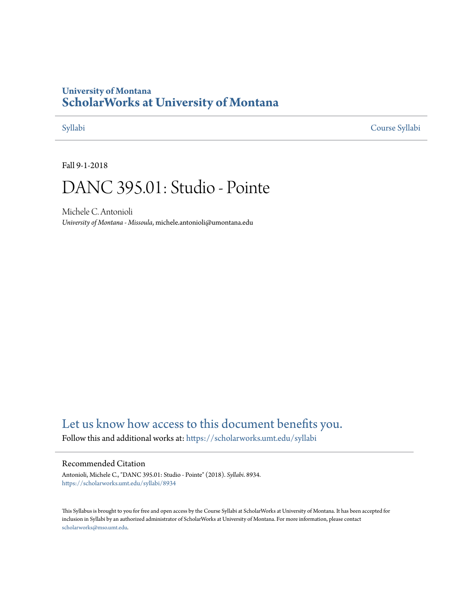## **University of Montana [ScholarWorks at University of Montana](https://scholarworks.umt.edu?utm_source=scholarworks.umt.edu%2Fsyllabi%2F8934&utm_medium=PDF&utm_campaign=PDFCoverPages)**

[Syllabi](https://scholarworks.umt.edu/syllabi?utm_source=scholarworks.umt.edu%2Fsyllabi%2F8934&utm_medium=PDF&utm_campaign=PDFCoverPages) [Course Syllabi](https://scholarworks.umt.edu/course_syllabi?utm_source=scholarworks.umt.edu%2Fsyllabi%2F8934&utm_medium=PDF&utm_campaign=PDFCoverPages)

Fall 9-1-2018

# DANC 395.01: Studio - Pointe

Michele C. Antonioli *University of Montana - Missoula*, michele.antonioli@umontana.edu

# [Let us know how access to this document benefits you.](https://goo.gl/forms/s2rGfXOLzz71qgsB2)

Follow this and additional works at: [https://scholarworks.umt.edu/syllabi](https://scholarworks.umt.edu/syllabi?utm_source=scholarworks.umt.edu%2Fsyllabi%2F8934&utm_medium=PDF&utm_campaign=PDFCoverPages)

#### Recommended Citation

Antonioli, Michele C., "DANC 395.01: Studio - Pointe" (2018). *Syllabi*. 8934. [https://scholarworks.umt.edu/syllabi/8934](https://scholarworks.umt.edu/syllabi/8934?utm_source=scholarworks.umt.edu%2Fsyllabi%2F8934&utm_medium=PDF&utm_campaign=PDFCoverPages)

This Syllabus is brought to you for free and open access by the Course Syllabi at ScholarWorks at University of Montana. It has been accepted for inclusion in Syllabi by an authorized administrator of ScholarWorks at University of Montana. For more information, please contact [scholarworks@mso.umt.edu](mailto:scholarworks@mso.umt.edu).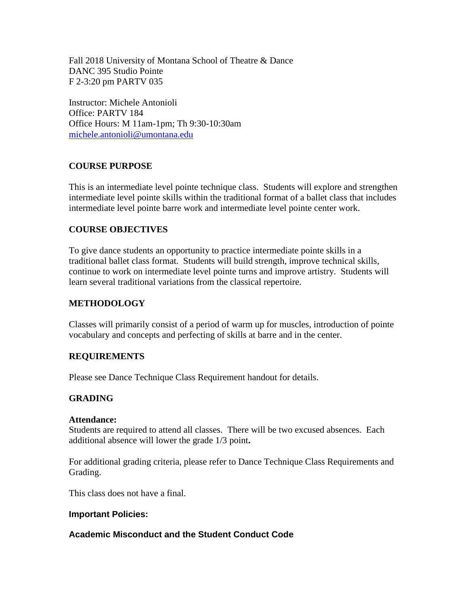Fall 2018 University of Montana School of Theatre & Dance DANC 395 Studio Pointe F 2-3:20 pm PARTV 035

Instructor: Michele Antonioli Office: PARTV 184 Office Hours: M 11am-1pm; Th 9:30-10:30am [michele.antonioli@umontana.edu](mailto:michele.antonioli@umontana.edu)

### **COURSE PURPOSE**

This is an intermediate level pointe technique class. Students will explore and strengthen intermediate level pointe skills within the traditional format of a ballet class that includes intermediate level pointe barre work and intermediate level pointe center work.

### **COURSE OBJECTIVES**

To give dance students an opportunity to practice intermediate pointe skills in a traditional ballet class format. Students will build strength, improve technical skills, continue to work on intermediate level pointe turns and improve artistry. Students will learn several traditional variations from the classical repertoire.

#### **METHODOLOGY**

Classes will primarily consist of a period of warm up for muscles, introduction of pointe vocabulary and concepts and perfecting of skills at barre and in the center.

#### **REQUIREMENTS**

Please see Dance Technique Class Requirement handout for details.

#### **GRADING**

#### **Attendance:**

Students are required to attend all classes. There will be two excused absences. Each additional absence will lower the grade 1/3 point**.** 

For additional grading criteria, please refer to Dance Technique Class Requirements and Grading.

This class does not have a final.

#### **Important Policies:**

#### **Academic Misconduct and the Student Conduct Code**